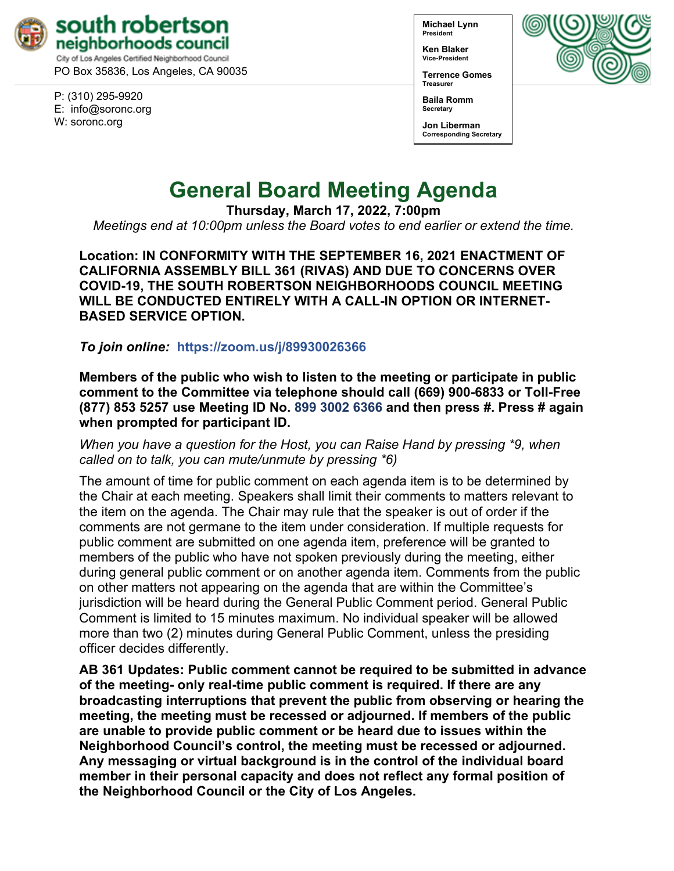

PO Box 35836, Los Angeles, CA 90035

P: (310) 295-9920 E: [info@soronc.org](mailto:info@soronc.org) W: soronc.org

**Michael Lynn President**

**Ken Blaker Vice-President**

**Terrence Gomes Treasurer**



**Baila Romm Secretary**

**Jon Liberman Corresponding Secretary**

# **General Board Meeting Agenda**

**Thursday, March 17, 2022, 7:00pm**

*Meetings end at 10:00pm unless the Board votes to end earlier or extend the time.*

**Location: IN CONFORMITY WITH THE SEPTEMBER 16, 2021 ENACTMENT OF CALIFORNIA ASSEMBLY BILL 361 (RIVAS) AND DUE TO CONCERNS OVER COVID-19, THE SOUTH ROBERTSON NEIGHBORHOODS COUNCIL MEETING WILL BE CONDUCTED ENTIRELY WITH A CALL-IN OPTION OR INTERNET-BASED SERVICE OPTION.**

*To join online:* **<https://zoom.us/j/89930026366>**

**Members of the public who wish to listen to the meeting or participate in public comment to the Committee via telephone should call (669) 900-6833 or Toll-Free (877) 853 5257 use Meeting ID No. 899 3002 6366 and then press #. Press # again when prompted for participant ID.**

*When you have a question for the Host, you can Raise Hand by pressing \*9, when called on to talk, you can mute/unmute by pressing \*6)* 

The amount of time for public comment on each agenda item is to be determined by the Chair at each meeting. Speakers shall limit their comments to matters relevant to the item on the agenda. The Chair may rule that the speaker is out of order if the comments are not germane to the item under consideration. If multiple requests for public comment are submitted on one agenda item, preference will be granted to members of the public who have not spoken previously during the meeting, either during general public comment or on another agenda item. Comments from the public on other matters not appearing on the agenda that are within the Committee's jurisdiction will be heard during the General Public Comment period. General Public Comment is limited to 15 minutes maximum. No individual speaker will be allowed more than two (2) minutes during General Public Comment, unless the presiding officer decides differently.

**AB 361 Updates: Public comment cannot be required to be submitted in advance of the meeting- only real-time public comment is required. If there are any broadcasting interruptions that prevent the public from observing or hearing the meeting, the meeting must be recessed or adjourned. If members of the public are unable to provide public comment or be heard due to issues within the Neighborhood Council's control, the meeting must be recessed or adjourned. Any messaging or virtual background is in the control of the individual board member in their personal capacity and does not reflect any formal position of the Neighborhood Council or the City of Los Angeles.**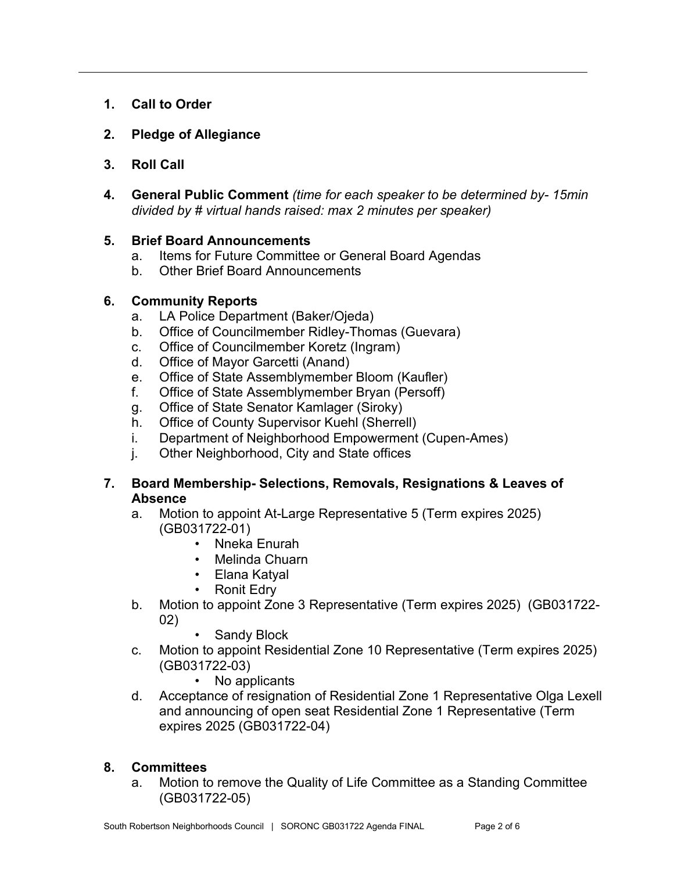- **1. Call to Order**
- **2. Pledge of Allegiance**
- **3. Roll Call**
- **4. General Public Comment** *(time for each speaker to be determined by- 15min divided by # virtual hands raised: max 2 minutes per speaker)*

#### **5. Brief Board Announcements**

- a. Items for Future Committee or General Board Agendas
- b. Other Brief Board Announcements

#### **6. Community Reports**

- a. LA Police Department (Baker/Ojeda)
- b. Office of Councilmember Ridley-Thomas (Guevara)
- c. Office of Councilmember Koretz (Ingram)
- d. Office of Mayor Garcetti (Anand)
- e. Office of State Assemblymember Bloom (Kaufler)
- f. Office of State Assemblymember Bryan (Persoff)
- g. Office of State Senator Kamlager (Siroky)
- h. Office of County Supervisor Kuehl (Sherrell)
- i. Department of Neighborhood Empowerment (Cupen-Ames)
- j. Other Neighborhood, City and State offices
- **7. Board Membership- Selections, Removals, Resignations & Leaves of Absence**
	- a. Motion to appoint At-Large Representative 5 (Term expires 2025) (GB031722-01)
		- Nneka Enurah
		- Melinda Chuarn
		- Elana Katyal
		- Ronit Edry
	- b. Motion to appoint Zone 3 Representative (Term expires 2025) (GB031722- 02)
		- Sandy Block
	- c. Motion to appoint Residential Zone 10 Representative (Term expires 2025) (GB031722-03)
		- No applicants
	- d. Acceptance of resignation of Residential Zone 1 Representative Olga Lexell and announcing of open seat Residential Zone 1 Representative (Term expires 2025 (GB031722-04)

#### **8. Committees**

a. Motion to remove the Quality of Life Committee as a Standing Committee (GB031722-05)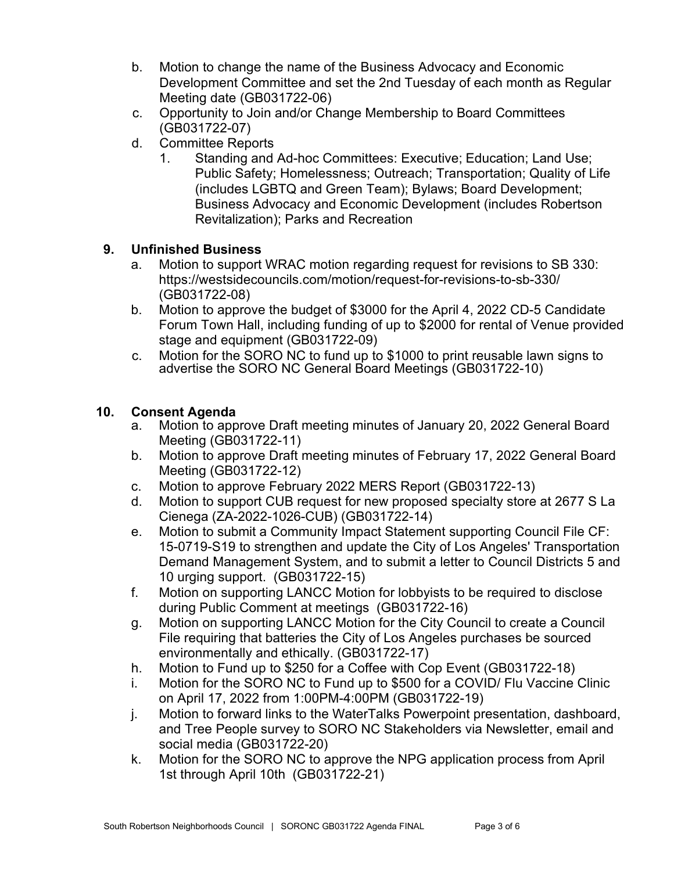- b. Motion to change the name of the Business Advocacy and Economic Development Committee and set the 2nd Tuesday of each month as Regular Meeting date (GB031722-06)
- c. Opportunity to Join and/or Change Membership to Board Committees (GB031722-07)
- d. Committee Reports
	- 1. Standing and Ad-hoc Committees: Executive; Education; Land Use; Public Safety; Homelessness; Outreach; Transportation; Quality of Life (includes LGBTQ and Green Team); Bylaws; Board Development; Business Advocacy and Economic Development (includes Robertson Revitalization); Parks and Recreation

# **9. Unfinished Business**

- a. Motion to support WRAC motion regarding request for revisions to SB 330: <https://westsidecouncils.com/motion/request-for-revisions-to-sb-330/> (GB031722-08)
- b. Motion to approve the budget of \$3000 for the April 4, 2022 CD-5 Candidate Forum Town Hall, including funding of up to \$2000 for rental of Venue provided stage and equipment (GB031722-09)
- c. Motion for the SORO NC to fund up to \$1000 to print reusable lawn signs to advertise the SORO NC General Board Meetings (GB031722-10)

# **10. Consent Agenda**

- a. Motion to approve Draft meeting minutes of January 20, 2022 General Board Meeting (GB031722-11)
- b. Motion to approve Draft meeting minutes of February 17, 2022 General Board Meeting (GB031722-12)
- c. Motion to approve February 2022 MERS Report (GB031722-13)
- d. Motion to support CUB request for new proposed specialty store at 2677 S La Cienega (ZA-2022-1026-CUB) (GB031722-14)
- e. Motion to submit a Community Impact Statement supporting Council File CF: 15-0719-S19 to strengthen and update the City of Los Angeles' Transportation Demand Management System, and to submit a letter to Council Districts 5 and 10 urging support. (GB031722-15)
- f. Motion on supporting LANCC Motion for lobbyists to be required to disclose during Public Comment at meetings (GB031722-16)
- g. Motion on supporting LANCC Motion for the City Council to create a Council File requiring that batteries the City of Los Angeles purchases be sourced environmentally and ethically. (GB031722-17)
- h. Motion to Fund up to \$250 for a Coffee with Cop Event (GB031722-18)
- i. Motion for the SORO NC to Fund up to \$500 for a COVID/ Flu Vaccine Clinic on April 17, 2022 from 1:00PM-4:00PM (GB031722-19)
- j. Motion to forward links to the WaterTalks Powerpoint presentation, dashboard, and Tree People survey to SORO NC Stakeholders via Newsletter, email and social media (GB031722-20)
- k. Motion for the SORO NC to approve the NPG application process from April 1st through April 10th (GB031722-21)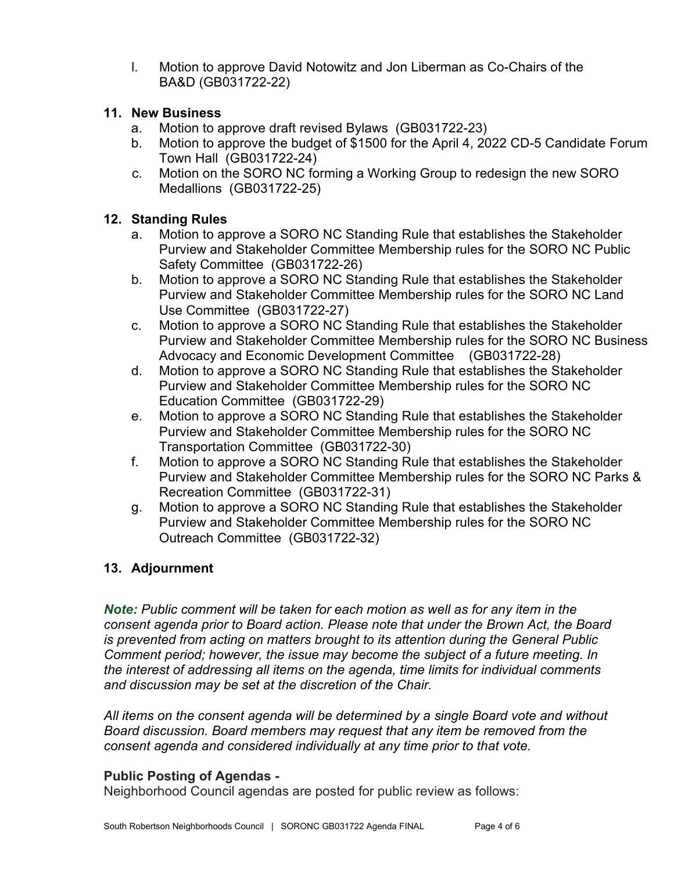l. Motion to approve David Notowitz and Jon Liberman as Co-Chairs of the BA&D (GB031722-22)

#### **11. New Business**

- a. Motion to approve draft revised Bylaws (GB031722-23)
- b. Motion to approve the budget of \$1500 for the April 4, 2022 CD-5 Candidate Forum Town Hall (GB031722-24)
- c. Motion on the SORO NC forming a Working Group to redesign the new SORO Medallions (GB031722-25)

## **12. Standing Rules**

- a. Motion to approve a SORO NC Standing Rule that establishes the Stakeholder Purview and Stakeholder Committee Membership rules for the SORO NC Public Safety Committee (GB031722-26)
- b. Motion to approve a SORO NC Standing Rule that establishes the Stakeholder Purview and Stakeholder Committee Membership rules for the SORO NC Land Use Committee (GB031722-27)
- c. Motion to approve a SORO NC Standing Rule that establishes the Stakeholder Purview and Stakeholder Committee Membership rules for the SORO NC Business Advocacy and Economic Development Committee (GB031722-28)
- d. Motion to approve a SORO NC Standing Rule that establishes the Stakeholder Purview and Stakeholder Committee Membership rules for the SORO NC Education Committee (GB031722-29)
- e. Motion to approve a SORO NC Standing Rule that establishes the Stakeholder Purview and Stakeholder Committee Membership rules for the SORO NC Transportation Committee (GB031722-30)
- f. Motion to approve a SORO NC Standing Rule that establishes the Stakeholder Purview and Stakeholder Committee Membership rules for the SORO NC Parks & Recreation Committee (GB031722-31)
- g. Motion to approve a SORO NC Standing Rule that establishes the Stakeholder Purview and Stakeholder Committee Membership rules for the SORO NC Outreach Committee (GB031722-32)

# **13. Adjournment**

*Note: Public comment will be taken for each motion as well as for any item in the consent agenda prior to Board action. Please note that under the Brown Act, the Board is prevented from acting on matters brought to its attention during the General Public Comment period; however, the issue may become the subject of a future meeting. In the interest of addressing all items on the agenda, time limits for individual comments and discussion may be set at the discretion of the Chair.*

*All items on the consent agenda will be determined by a single Board vote and without Board discussion. Board members may request that any item be removed from the consent agenda and considered individually at any time prior to that vote.*

## **Public Posting of Agendas -**

Neighborhood Council agendas are posted for public review as follows: